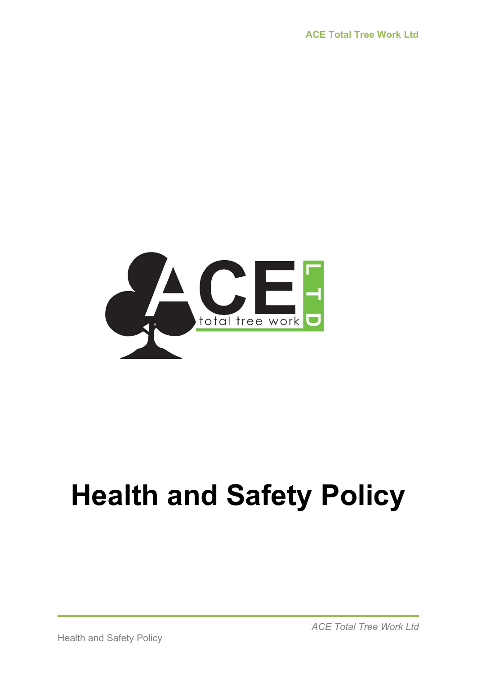

## **Health and Safety Policy**